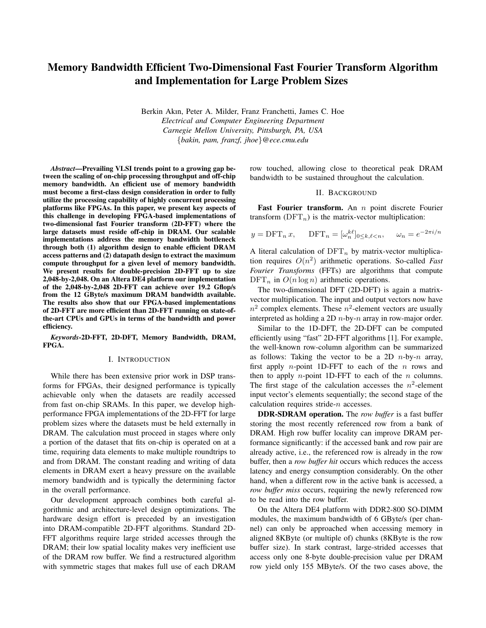# Memory Bandwidth Efficient Two-Dimensional Fast Fourier Transform Algorithm and Implementation for Large Problem Sizes

Berkin Akın, Peter A. Milder, Franz Franchetti, James C. Hoe *Electrical and Computer Engineering Department Carnegie Mellon University, Pittsburgh, PA, USA* {*bakin, pam, franzf, jhoe*}*@ece.cmu.edu*

*Abstract*—Prevailing VLSI trends point to a growing gap between the scaling of on-chip processing throughput and off-chip memory bandwidth. An efficient use of memory bandwidth must become a first-class design consideration in order to fully utilize the processing capability of highly concurrent processing platforms like FPGAs. In this paper, we present key aspects of this challenge in developing FPGA-based implementations of two-dimensional fast Fourier transform (2D-FFT) where the large datasets must reside off-chip in DRAM. Our scalable implementations address the memory bandwidth bottleneck through both (1) algorithm design to enable efficient DRAM access patterns and (2) datapath design to extract the maximum compute throughput for a given level of memory bandwidth. We present results for double-precision 2D-FFT up to size 2,048-by-2,048. On an Altera DE4 platform our implementation of the 2,048-by-2,048 2D-FFT can achieve over 19.2 Gflop/s from the 12 GByte/s maximum DRAM bandwidth available. The results also show that our FPGA-based implementations of 2D-FFT are more efficient than 2D-FFT running on state-ofthe-art CPUs and GPUs in terms of the bandwidth and power efficiency.

*Keywords*-2D-FFT, 2D-DFT, Memory Bandwidth, DRAM, FPGA.

#### I. INTRODUCTION

While there has been extensive prior work in DSP transforms for FPGAs, their designed performance is typically achievable only when the datasets are readily accessed from fast on-chip SRAMs. In this paper, we develop highperformance FPGA implementations of the 2D-FFT for large problem sizes where the datasets must be held externally in DRAM. The calculation must proceed in stages where only a portion of the dataset that fits on-chip is operated on at a time, requiring data elements to make multiple roundtrips to and from DRAM. The constant reading and writing of data elements in DRAM exert a heavy pressure on the available memory bandwidth and is typically the determining factor in the overall performance.

Our development approach combines both careful algorithmic and architecture-level design optimizations. The hardware design effort is preceded by an investigation into DRAM-compatible 2D-FFT algorithms. Standard 2D-FFT algorithms require large strided accesses through the DRAM; their low spatial locality makes very inefficient use of the DRAM row buffer. We find a restructured algorithm with symmetric stages that makes full use of each DRAM row touched, allowing close to theoretical peak DRAM bandwidth to be sustained throughout the calculation.

#### II. BACKGROUND

Fast Fourier transform. An  $n$  point discrete Fourier transform  $(DFT_n)$  is the matrix-vector multiplication:

$$
y = \text{DFT}_n x
$$
,  $\text{DFT}_n = [\omega_n^{k\ell}]_{0 \le k, \ell < n}$ ,  $\omega_n = e^{-2\pi i/n}$ 

A literal calculation of  $DFT_n$  by matrix-vector multiplication requires O(n 2 ) arithmetic operations. So-called *Fast Fourier Transforms* (FFTs) are algorithms that compute  $\text{DFT}_n$  in  $O(n \log n)$  arithmetic operations.

The two-dimensional DFT (2D-DFT) is again a matrixvector multiplication. The input and output vectors now have  $n^2$  complex elements. These  $n^2$ -element vectors are usually interpreted as holding a 2D  $n$ -by- $n$  array in row-major order.

Similar to the 1D-DFT, the 2D-DFT can be computed efficiently using "fast" 2D-FFT algorithms [1]. For example, the well-known row-column algorithm can be summarized as follows: Taking the vector to be a 2D  $n$ -by- $n$  array, first apply *n*-point 1D-FFT to each of the *n* rows and then to apply  $n$ -point 1D-FFT to each of the  $n$  columns. The first stage of the calculation accesses the  $n^2$ -element input vector's elements sequentially; the second stage of the calculation requires stride-n accesses.

DDR-SDRAM operation. The *row buffer* is a fast buffer storing the most recently referenced row from a bank of DRAM. High row buffer locality can improve DRAM performance significantly: if the accessed bank and row pair are already active, i.e., the referenced row is already in the row buffer, then a *row buffer hit* occurs which reduces the access latency and energy consumption considerably. On the other hand, when a different row in the active bank is accessed, a *row buffer miss* occurs, requiring the newly referenced row to be read into the row buffer.

On the Altera DE4 platform with DDR2-800 SO-DIMM modules, the maximum bandwidth of 6 GByte/s (per channel) can only be approached when accessing memory in aligned 8KByte (or multiple of) chunks (8KByte is the row buffer size). In stark contrast, large-strided accesses that access only one 8-byte double-precision value per DRAM row yield only 155 MByte/s. Of the two cases above, the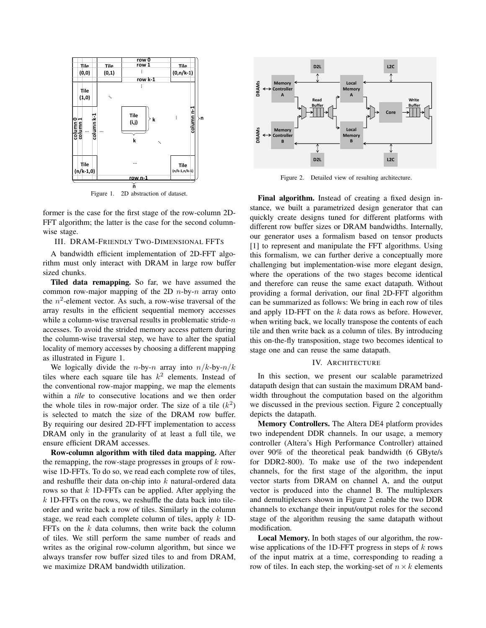

Figure 1. 2D abstraction of dataset.

former is the case for the first stage of the row-column 2D-FFT algorithm; the latter is the case for the second columnwise stage.

## III. DRAM-FRIENDLY TWO-DIMENSIONAL FFTS

A bandwidth efficient implementation of 2D-FFT algorithm must only interact with DRAM in large row buffer sized chunks.

Tiled data remapping. So far, we have assumed the common row-major mapping of the 2D  $n$ -by- $n$  array onto the  $n^2$ -element vector. As such, a row-wise traversal of the array results in the efficient sequential memory accesses while a column-wise traversal results in problematic stride- $n$ accesses. To avoid the strided memory access pattern during the column-wise traversal step, we have to alter the spatial locality of memory accesses by choosing a different mapping as illustrated in Figure 1.

We logically divide the *n*-by-*n* array into  $n/k$ -by- $n/k$ tiles where each square tile has  $k^2$  elements. Instead of the conventional row-major mapping, we map the elements within a *tile* to consecutive locations and we then order the whole tiles in row-major order. The size of a tile  $(k^2)$ is selected to match the size of the DRAM row buffer. By requiring our desired 2D-FFT implementation to access DRAM only in the granularity of at least a full tile, we ensure efficient DRAM accesses.

Row-column algorithm with tiled data mapping. After the remapping, the row-stage progresses in groups of  $k$  rowwise 1D-FFTs. To do so, we read each complete row of tiles, and reshuffle their data on-chip into  $k$  natural-ordered data rows so that  $k$  1D-FFTs can be applied. After applying the  $k$  1D-FFTs on the rows, we reshuffle the data back into tileorder and write back a row of tiles. Similarly in the column stage, we read each complete column of tiles, apply  $k$  1D-FFTs on the  $k$  data columns, then write back the column of tiles. We still perform the same number of reads and writes as the original row-column algorithm, but since we always transfer row buffer sized tiles to and from DRAM, we maximize DRAM bandwidth utilization.



Figure 2. Detailed view of resulting architecture.

Final algorithm. Instead of creating a fixed design instance, we built a parametrized design generator that can quickly create designs tuned for different platforms with different row buffer sizes or DRAM bandwidths. Internally, our generator uses a formalism based on tensor products [1] to represent and manipulate the FFT algorithms. Using this formalism, we can further derive a conceptually more challenging but implementation-wise more elegant design, where the operations of the two stages become identical and therefore can reuse the same exact datapath. Without providing a formal derivation, our final 2D-FFT algorithm can be summarized as follows: We bring in each row of tiles and apply 1D-FFT on the  $k$  data rows as before. However, when writing back, we locally transpose the contents of each tile and then write back as a column of tiles. By introducing this on-the-fly transposition, stage two becomes identical to stage one and can reuse the same datapath.

#### IV. ARCHITECTURE

In this section, we present our scalable parametrized datapath design that can sustain the maximum DRAM bandwidth throughout the computation based on the algorithm we discussed in the previous section. Figure 2 conceptually depicts the datapath.

Memory Controllers. The Altera DE4 platform provides two independent DDR channels. In our usage, a memory controller (Altera's High Performance Controller) attained over 90% of the theoretical peak bandwidth (6 GByte/s for DDR2-800). To make use of the two independent channels, for the first stage of the algorithm, the input vector starts from DRAM on channel A, and the output vector is produced into the channel B. The multiplexers and demultiplexers shown in Figure 2 enable the two DDR channels to exchange their input/output roles for the second stage of the algorithm reusing the same datapath without modification.

Local Memory. In both stages of our algorithm, the rowwise applications of the 1D-FFT progress in steps of  $k$  rows of the input matrix at a time, corresponding to reading a row of tiles. In each step, the working-set of  $n \times k$  elements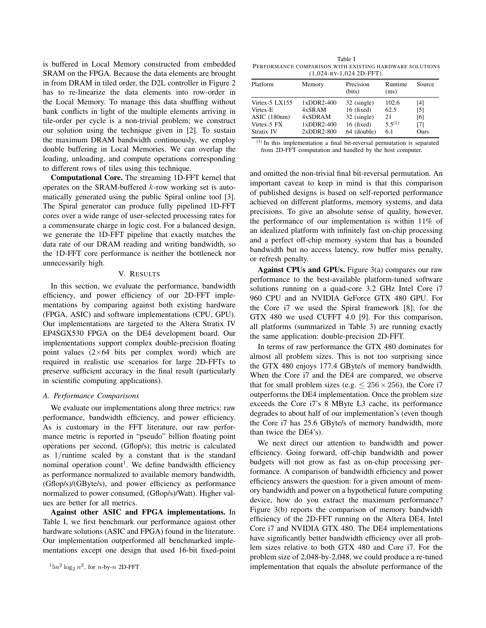is buffered in Local Memory constructed from embedded SRAM on the FPGA. Because the data elements are brought in from DRAM in tiled order, the D2L controller in Figure 2 has to re-linearize the data elements into row-order in the Local Memory. To manage this data shuffling without bank conflicts in light of the multiple elements arriving in tile-order per cycle is a non-trivial problem; we construct our solution using the technique given in [2]. To sustain the maximum DRAM bandwidth continuously, we employ double buffering in Local Memories. We can overlap the loading, unloading, and compute operations corresponding to different rows of tiles using this technique.

Computational Core. The streaming 1D-FFT kernel that operates on the SRAM-buffered  $k$ -row working set is automatically generated using the public Spiral online tool [3]. The Spiral generator can produce fully pipelined 1D-FFT cores over a wide range of user-selected processing rates for a commensurate charge in logic cost. For a balanced design, we generate the 1D-FFT pipeline that exactly matches the data rate of our DRAM reading and writing bandwidth, so the 1D-FFT core performance is neither the bottleneck nor unnecessarily high.

#### V. RESULTS

In this section, we evaluate the performance, bandwidth efficiency, and power efficiency of our 2D-FFT implementations by comparing against both existing hardware (FPGA, ASIC) and software implementations (CPU, GPU). Our implementations are targeted to the Altera Stratix IV EP4SGX530 FPGA on the DE4 development board. Our implementations support complex double-precision floating point values  $(2\times 64$  bits per complex word) which are required in realistic use scenarios for large 2D-FFTs to preserve sufficient accuracy in the final result (particularly in scientific computing applications).

#### *A. Performance Comparisons*

We evaluate our implementations along three metrics: raw performance, bandwidth efficiency, and power efficiency. As is customary in the FFT literature, our raw performance metric is reported in "pseudo" billion floating point operations per second, (Gflop/s); this metric is calculated as 1/runtime scaled by a constant that is the standard nominal operation count<sup>1</sup>. We define bandwidth efficiency as performance normalized to available memory bandwidth, (Gflop/s)/(GByte/s), and power efficiency as performance normalized to power consumed, (Gflop/s)/Watt). Higher values are better for all metrics.

Against other ASIC and FPGA implementations. In Table I, we first benchmark our performance against other hardware solutions (ASIC and FPGA) found in the literature. Our implementation outperformed all benchmarked implementations except one design that used 16-bit fixed-point

Table I PERFORMANCE COMPARISON WITH EXISTING HARDWARE SOLUTIONS (1,024-BY-1,024 2D-FFT).

| Platform          | Memory       | Precision<br>(bits) | Runtime<br>(ms) | Source |
|-------------------|--------------|---------------------|-----------------|--------|
| Virtex-5 $LX155$  | $1xDDR2-400$ | 32 (single)         | 102.6           | [4]    |
| Virtex-E          | $4x$ SRAM    | $16$ (fixed)        | 62.5            | [5]    |
| $ASIC$ (180nm)    | 4xSDRAM      | 32 (single)         | 21              | [6]    |
| Virtex-5 FX       | $1xDDR2-400$ | $16$ (fixed)        | $5.5^{(1)}$     | [7]    |
| <b>Stratix IV</b> | $2xDDR2-800$ | 64 (double)         | 6.1             | Ours   |

(1) In this implementation a final bit-reversal permutation is separated from 2D-FFT computation and handled by the host computer.

and omitted the non-trivial final bit-reversal permutation. An important caveat to keep in mind is that this comparison of published designs is based on self-reported performance achieved on different platforms, memory systems, and data precisions. To give an absolute sense of quality, however, the performance of our implementation is within 11% of an idealized platform with infinitely fast on-chip processing and a perfect off-chip memory system that has a bounded bandwidth but no access latency, row buffer miss penalty, or refresh penalty.

Against CPUs and GPUs. Figure 3(a) compares our raw performance to the best-available platform-tuned software solutions running on a quad-core 3.2 GHz Intel Core i7 960 CPU and an NVIDIA GeForce GTX 480 GPU. For the Core i7 we used the Spiral framework [8]; for the GTX 480 we used CUFFT 4.0 [9]. For this comparison, all platforms (summarized in Table 3) are running exactly the same application: double-precision 2D-FFT.

In terms of raw performance the GTX 480 dominates for almost all problem sizes. This is not too surprising since the GTX 480 enjoys 177.4 GByte/s of memory bandwidth. When the Core i7 and the DE4 are compared, we observe that for small problem sizes (e.g.  $\leq 256 \times 256$ ), the Core i7 outperforms the DE4 implementation. Once the problem size exceeds the Core i7's 8 MByte L3 cache, its performance degrades to about half of our implementation's (even though the Core i7 has 25.6 GByte/s of memory bandwidth, more than twice the DE4's).

We next direct our attention to bandwidth and power efficiency. Going forward, off-chip bandwidth and power budgets will not grow as fast as on-chip processing performance. A comparison of bandwidth efficiency and power efficiency answers the question: for a given amount of memory bandwidth and power on a hypothetical future computing device, how do you extract the maximum performance? Figure 3(b) reports the comparison of memory bandwidth efficiency of the 2D-FFT running on the Altera DE4, Intel Core i7 and NVIDIA GTX 480. The DE4 implementations have significantly better bandwidth efficiency over all problem sizes relative to both GTX 480 and Core i7. For the problem size of 2,048-by-2,048, we could produce a re-tuned implementation that equals the absolute performance of the

 $15n^2 \log_2 n^2$ , for *n*-by-*n* 2D-FFT